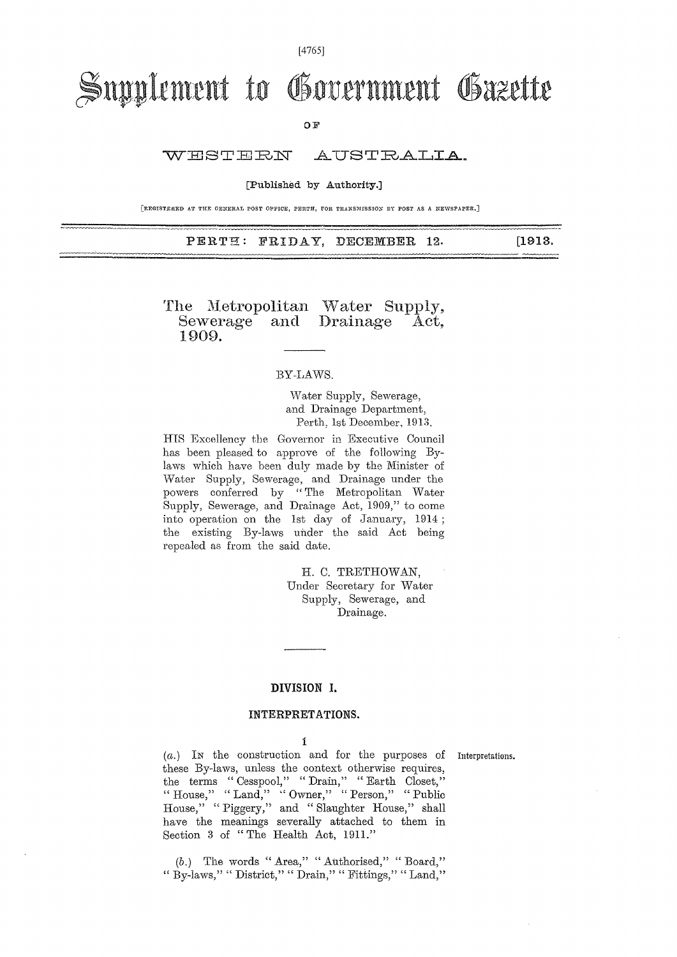[4765]

# Supplement to Government Gazette

OF

WHST HRN AUSTRALIA.

[Published by Authority.]

[REGISTERED AT THE GENERAL POST OFFICE, PERTH, FOR TRANSMISSION BY POST AS A NEWSPAPER.]

PERTH: FRIDAY, DECEMBER 12. [1913.

The Metropolitan Water Supply, Sewerage and Drainage Act, Sewerage<br>1909.

### BY-LAWS.

Water Supply, Sewerage, and Drainage Department, Perth, 1st December, 1913.

HIS Excellency the Governor in Executive Council has been pleased to approve of the following Bylaws which have been duly made by the Minister of Water Supply, Sewerage, and Drainage under the powers conferred by " The Metropolitan Water Supply, Sewerage, and Drainage Act, 1909," to come into operation on the 1st day of January, 1914; the existing By-laws under the said Act being repealed as from the said date.

> H. C. TRETHOWAN, Under Secretary for Water Supply, Sewerage, and Drainage.

### DIVISION I.

#### INTERPRETATIONS.

1

(a.) IN the construction and for the purposes of Interpretations. these By-laws, unless the context otherwise requires, the terms " Cesspool," " Drain," " Earth Closet," " House," " Land," " Owner," " Person," " Public House," " Piggery," and " Slaughter House," shall have the meanings severally attached to them in Section 3 of " The Health Act, 1911."

*(b.)* The words " Area," " Authorised," " Board," " By-laws," " District," " Drain," " Fittings," " Land,"